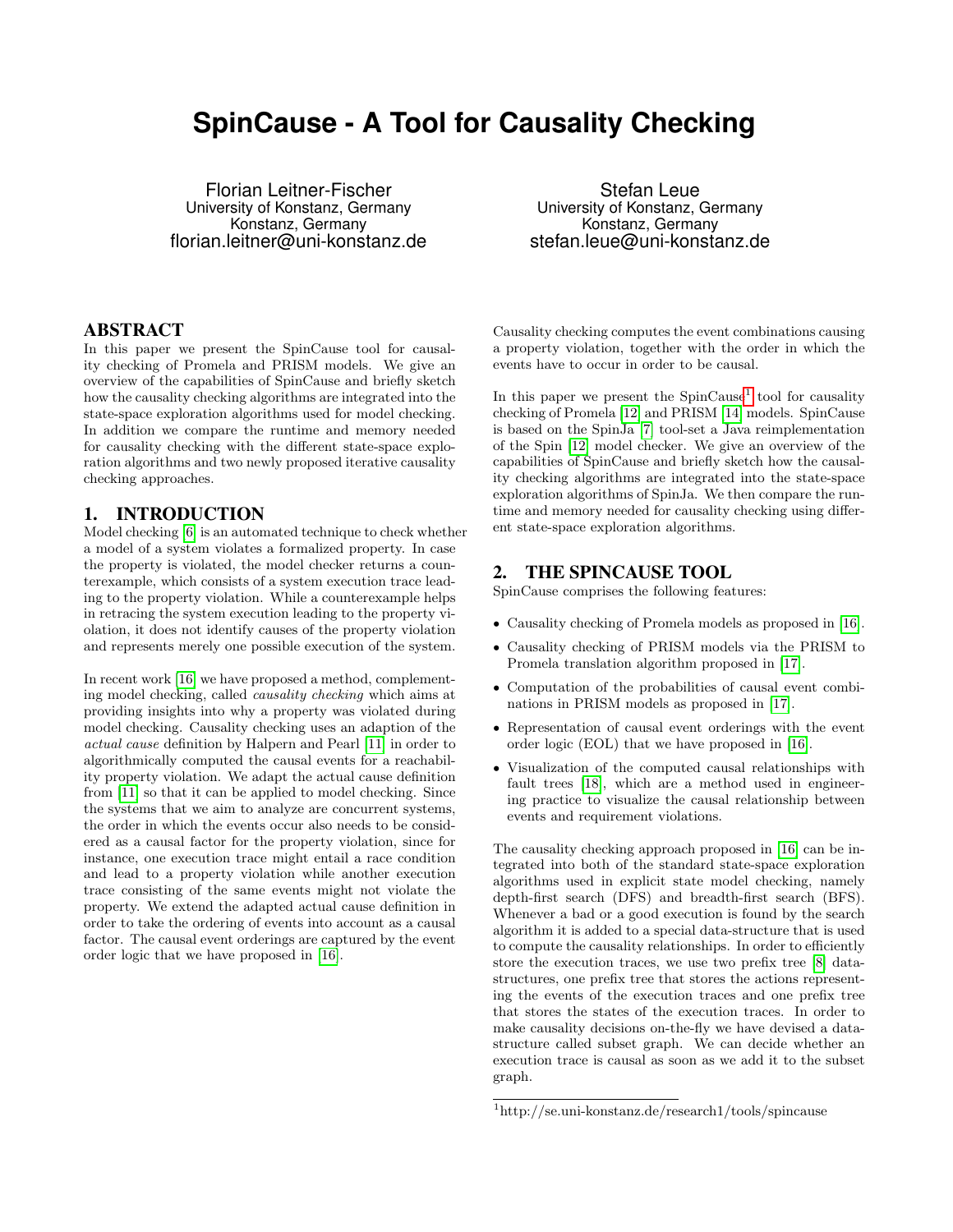# **SpinCause - A Tool for Causality Checking**

Florian Leitner-Fischer University of Konstanz, Germany Konstanz, Germany florian.leitner@uni-konstanz.de

#### ABSTRACT

In this paper we present the SpinCause tool for causality checking of Promela and PRISM models. We give an overview of the capabilities of SpinCause and briefly sketch how the causality checking algorithms are integrated into the state-space exploration algorithms used for model checking. In addition we compare the runtime and memory needed for causality checking with the different state-space exploration algorithms and two newly proposed iterative causality checking approaches.

### 1. INTRODUCTION

Model checking [\[6\]](#page-3-0) is an automated technique to check whether a model of a system violates a formalized property. In case the property is violated, the model checker returns a counterexample, which consists of a system execution trace leading to the property violation. While a counterexample helps in retracing the system execution leading to the property violation, it does not identify causes of the property violation and represents merely one possible execution of the system.

In recent work [\[16\]](#page-3-1) we have proposed a method, complementing model checking, called causality checking which aims at providing insights into why a property was violated during model checking. Causality checking uses an adaption of the actual cause definition by Halpern and Pearl [\[11\]](#page-3-2) in order to algorithmically computed the causal events for a reachability property violation. We adapt the actual cause definition from [\[11\]](#page-3-2) so that it can be applied to model checking. Since the systems that we aim to analyze are concurrent systems, the order in which the events occur also needs to be considered as a causal factor for the property violation, since for instance, one execution trace might entail a race condition and lead to a property violation while another execution trace consisting of the same events might not violate the property. We extend the adapted actual cause definition in order to take the ordering of events into account as a causal factor. The causal event orderings are captured by the event order logic that we have proposed in [\[16\]](#page-3-1).

Stefan Leue University of Konstanz, Germany Konstanz, Germany stefan.leue@uni-konstanz.de

Causality checking computes the event combinations causing a property violation, together with the order in which the events have to occur in order to be causal.

In this paper we present the  $SpinCause<sup>1</sup>$  $SpinCause<sup>1</sup>$  $SpinCause<sup>1</sup>$  tool for causality checking of Promela [\[12\]](#page-3-3) and PRISM [\[14\]](#page-3-4) models. SpinCause is based on the SpinJa [\[7\]](#page-3-5) tool-set a Java reimplementation of the Spin [\[12\]](#page-3-3) model checker. We give an overview of the capabilities of SpinCause and briefly sketch how the causality checking algorithms are integrated into the state-space exploration algorithms of SpinJa. We then compare the runtime and memory needed for causality checking using different state-space exploration algorithms.

## 2. THE SPINCAUSE TOOL

SpinCause comprises the following features:

- Causality checking of Promela models as proposed in [\[16\]](#page-3-1).
- Causality checking of PRISM models via the PRISM to Promela translation algorithm proposed in [\[17\]](#page-3-6).
- Computation of the probabilities of causal event combinations in PRISM models as proposed in [\[17\]](#page-3-6).
- Representation of causal event orderings with the event order logic (EOL) that we have proposed in [\[16\]](#page-3-1).
- Visualization of the computed causal relationships with fault trees [\[18\]](#page-3-7), which are a method used in engineering practice to visualize the causal relationship between events and requirement violations.

The causality checking approach proposed in [\[16\]](#page-3-1) can be integrated into both of the standard state-space exploration algorithms used in explicit state model checking, namely depth-first search (DFS) and breadth-first search (BFS). Whenever a bad or a good execution is found by the search algorithm it is added to a special data-structure that is used to compute the causality relationships. In order to efficiently store the execution traces, we use two prefix tree [\[8\]](#page-3-8) datastructures, one prefix tree that stores the actions representing the events of the execution traces and one prefix tree that stores the states of the execution traces. In order to make causality decisions on-the-fly we have devised a datastructure called subset graph. We can decide whether an execution trace is causal as soon as we add it to the subset graph.

<span id="page-0-0"></span><sup>1</sup> http://se.uni-konstanz.de/research1/tools/spincause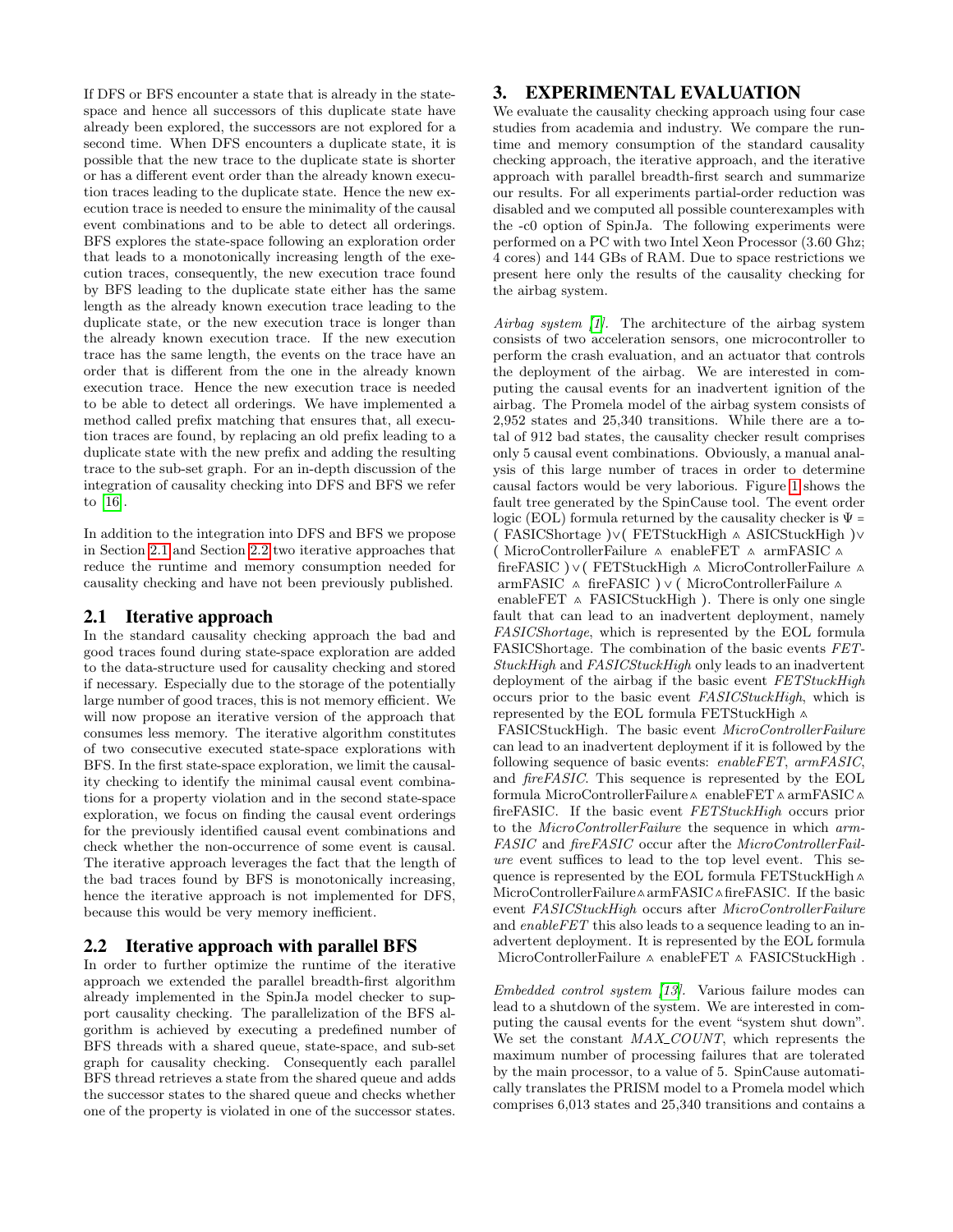If DFS or BFS encounter a state that is already in the statespace and hence all successors of this duplicate state have already been explored, the successors are not explored for a second time. When DFS encounters a duplicate state, it is possible that the new trace to the duplicate state is shorter or has a different event order than the already known execution traces leading to the duplicate state. Hence the new execution trace is needed to ensure the minimality of the causal event combinations and to be able to detect all orderings. BFS explores the state-space following an exploration order that leads to a monotonically increasing length of the execution traces, consequently, the new execution trace found by BFS leading to the duplicate state either has the same length as the already known execution trace leading to the duplicate state, or the new execution trace is longer than the already known execution trace. If the new execution trace has the same length, the events on the trace have an order that is different from the one in the already known execution trace. Hence the new execution trace is needed to be able to detect all orderings. We have implemented a method called prefix matching that ensures that, all execution traces are found, by replacing an old prefix leading to a duplicate state with the new prefix and adding the resulting trace to the sub-set graph. For an in-depth discussion of the integration of causality checking into DFS and BFS we refer to [\[16\]](#page-3-1).

In addition to the integration into DFS and BFS we propose in Section [2.1](#page-1-0) and Section [2.2](#page-1-1) two iterative approaches that reduce the runtime and memory consumption needed for causality checking and have not been previously published.

#### <span id="page-1-0"></span>2.1 Iterative approach

In the standard causality checking approach the bad and good traces found during state-space exploration are added to the data-structure used for causality checking and stored if necessary. Especially due to the storage of the potentially large number of good traces, this is not memory efficient. We will now propose an iterative version of the approach that consumes less memory. The iterative algorithm constitutes of two consecutive executed state-space explorations with BFS. In the first state-space exploration, we limit the causality checking to identify the minimal causal event combinations for a property violation and in the second state-space exploration, we focus on finding the causal event orderings for the previously identified causal event combinations and check whether the non-occurrence of some event is causal. The iterative approach leverages the fact that the length of the bad traces found by BFS is monotonically increasing, hence the iterative approach is not implemented for DFS, because this would be very memory inefficient.

#### <span id="page-1-1"></span>2.2 Iterative approach with parallel BFS

In order to further optimize the runtime of the iterative approach we extended the parallel breadth-first algorithm already implemented in the SpinJa model checker to support causality checking. The parallelization of the BFS algorithm is achieved by executing a predefined number of BFS threads with a shared queue, state-space, and sub-set graph for causality checking. Consequently each parallel BFS thread retrieves a state from the shared queue and adds the successor states to the shared queue and checks whether one of the property is violated in one of the successor states.

## 3. EXPERIMENTAL EVALUATION

We evaluate the causality checking approach using four case studies from academia and industry. We compare the runtime and memory consumption of the standard causality checking approach, the iterative approach, and the iterative approach with parallel breadth-first search and summarize our results. For all experiments partial-order reduction was disabled and we computed all possible counterexamples with the -c0 option of SpinJa. The following experiments were performed on a PC with two Intel Xeon Processor (3.60 Ghz; 4 cores) and 144 GBs of RAM. Due to space restrictions we present here only the results of the causality checking for the airbag system.

Airbag system  $\left|1\right|$ . The architecture of the airbag system consists of two acceleration sensors, one microcontroller to perform the crash evaluation, and an actuator that controls the deployment of the airbag. We are interested in computing the causal events for an inadvertent ignition of the airbag. The Promela model of the airbag system consists of 2,952 states and 25,340 transitions. While there are a total of 912 bad states, the causality checker result comprises only 5 causal event combinations. Obviously, a manual analysis of this large number of traces in order to determine causal factors would be very laborious. Figure [1](#page-2-0) shows the fault tree generated by the SpinCause tool. The event order logic (EOL) formula returned by the causality checker is  $\Psi =$ ( FASICShortage )∨( FETStuckHigh . ASICStuckHigh )∨ (MicroControllerFailure  $\wedge$  enableFET  $\wedge$  armFASIC  $\wedge$ fireFASIC)∨( FETStuckHigh A MicroControllerFailure A armFASIC  $\land$  fireFASIC  $) \lor ($  MicroControllerFailure  $\land$ enableFET  $\land$  FASICStuckHigh). There is only one single fault that can lead to an inadvertent deployment, namely FASICShortage, which is represented by the EOL formula FASICShortage. The combination of the basic events FET-StuckHigh and FASICStuckHigh only leads to an inadvertent deployment of the airbag if the basic event  $FETStuckHigh$ occurs prior to the basic event FASICStuckHigh, which is represented by the EOL formula FETStuckHigh .

FASICStuckHigh. The basic event MicroControllerFailure can lead to an inadvertent deployment if it is followed by the following sequence of basic events: enableFET, armFASIC, and fireFASIC. This sequence is represented by the EOL formula MicroControllerFailure  $\wedge$  enableFET  $\wedge$  armFASIC  $\wedge$ fireFASIC. If the basic event FETStuckHigh occurs prior to the MicroControllerFailure the sequence in which arm-FASIC and fireFASIC occur after the MicroControllerFailure event suffices to lead to the top level event. This sequence is represented by the EOL formula FETStuckHigh . MicroControllerFailure A armFASIC A fireFASIC. If the basic event FASICStuckHigh occurs after MicroControllerFailure and enableFET this also leads to a sequence leading to an inadvertent deployment. It is represented by the EOL formula MicroControllerFailure  $\wedge$  enableFET  $\wedge$  FASICStuckHigh.

Embedded control system [\[13\]](#page-3-10). Various failure modes can lead to a shutdown of the system. We are interested in computing the causal events for the event "system shut down". We set the constant  $MAX\_COUNT$ , which represents the maximum number of processing failures that are tolerated by the main processor, to a value of 5. SpinCause automatically translates the PRISM model to a Promela model which comprises 6,013 states and 25,340 transitions and contains a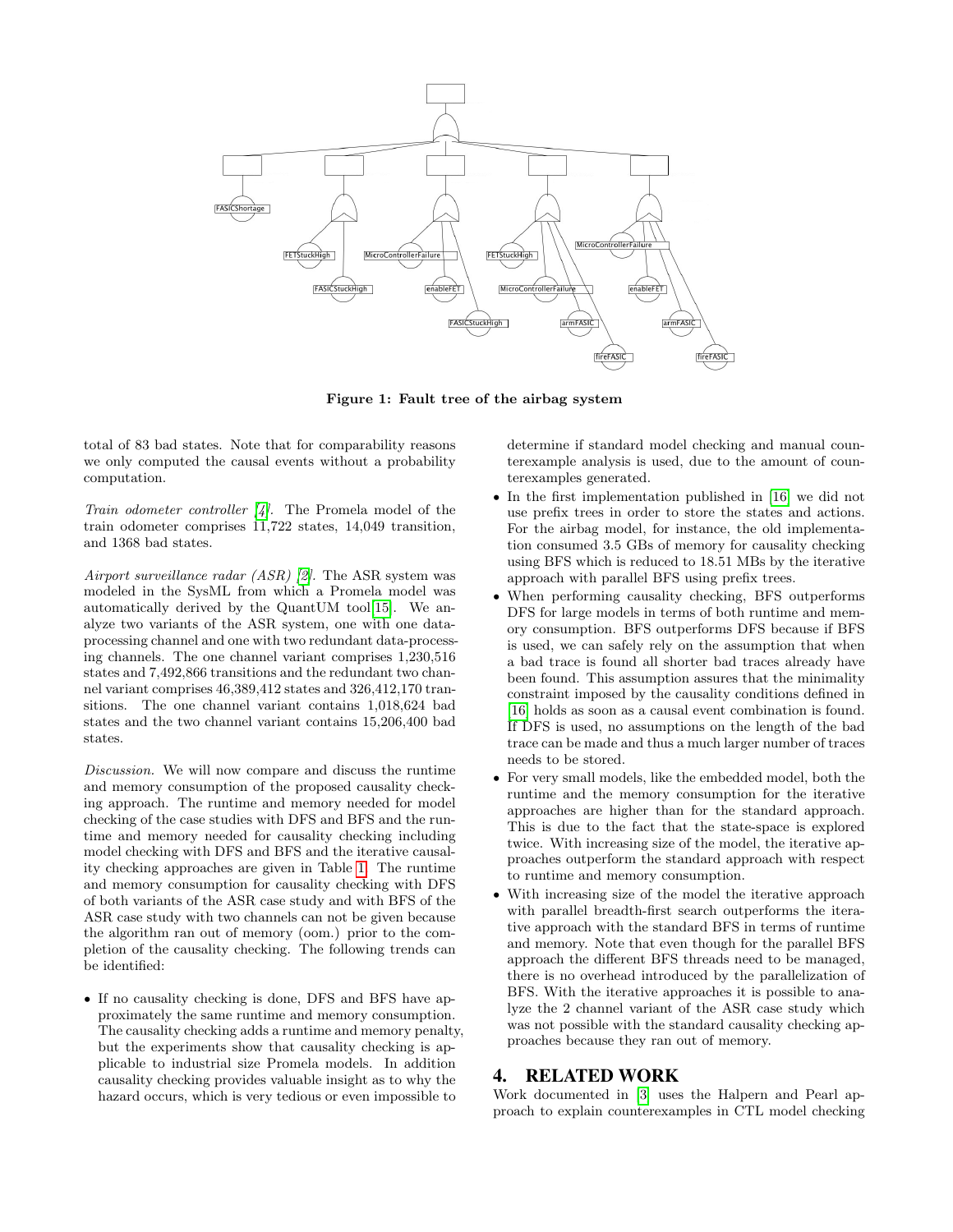

<span id="page-2-0"></span>Figure 1: Fault tree of the airbag system

total of 83 bad states. Note that for comparability reasons we only computed the causal events without a probability computation.

Train odometer controller  $\vert 4 \vert$ . The Promela model of the train odometer comprises 11,722 states, 14,049 transition, and 1368 bad states.

Airport surveillance radar (ASR) [\[2\]](#page-3-12). The ASR system was modeled in the SysML from which a Promela model was automatically derived by the QuantUM tool[\[15\]](#page-3-13). We analyze two variants of the ASR system, one with one dataprocessing channel and one with two redundant data-processing channels. The one channel variant comprises 1,230,516 states and 7,492,866 transitions and the redundant two channel variant comprises 46,389,412 states and 326,412,170 transitions. The one channel variant contains 1,018,624 bad states and the two channel variant contains 15,206,400 bad states.

Discussion. We will now compare and discuss the runtime and memory consumption of the proposed causality checking approach. The runtime and memory needed for model checking of the case studies with DFS and BFS and the runtime and memory needed for causality checking including model checking with DFS and BFS and the iterative causality checking approaches are given in Table [1.](#page-3-14) The runtime and memory consumption for causality checking with DFS of both variants of the ASR case study and with BFS of the ASR case study with two channels can not be given because the algorithm ran out of memory (oom.) prior to the completion of the causality checking. The following trends can be identified:

• If no causality checking is done, DFS and BFS have approximately the same runtime and memory consumption. The causality checking adds a runtime and memory penalty, but the experiments show that causality checking is applicable to industrial size Promela models. In addition causality checking provides valuable insight as to why the hazard occurs, which is very tedious or even impossible to

determine if standard model checking and manual counterexample analysis is used, due to the amount of counterexamples generated.

- In the first implementation published in [\[16\]](#page-3-1) we did not use prefix trees in order to store the states and actions. For the airbag model, for instance, the old implementation consumed 3.5 GBs of memory for causality checking using BFS which is reduced to 18.51 MBs by the iterative approach with parallel BFS using prefix trees.
- When performing causality checking, BFS outperforms DFS for large models in terms of both runtime and memory consumption. BFS outperforms DFS because if BFS is used, we can safely rely on the assumption that when a bad trace is found all shorter bad traces already have been found. This assumption assures that the minimality constraint imposed by the causality conditions defined in [\[16\]](#page-3-1) holds as soon as a causal event combination is found. If DFS is used, no assumptions on the length of the bad trace can be made and thus a much larger number of traces needs to be stored.
- For very small models, like the embedded model, both the runtime and the memory consumption for the iterative approaches are higher than for the standard approach. This is due to the fact that the state-space is explored twice. With increasing size of the model, the iterative approaches outperform the standard approach with respect to runtime and memory consumption.
- With increasing size of the model the iterative approach with parallel breadth-first search outperforms the iterative approach with the standard BFS in terms of runtime and memory. Note that even though for the parallel BFS approach the different BFS threads need to be managed, there is no overhead introduced by the parallelization of BFS. With the iterative approaches it is possible to analyze the 2 channel variant of the ASR case study which was not possible with the standard causality checking approaches because they ran out of memory.

# 4. RELATED WORK

Work documented in [\[3\]](#page-3-15) uses the Halpern and Pearl approach to explain counterexamples in CTL model checking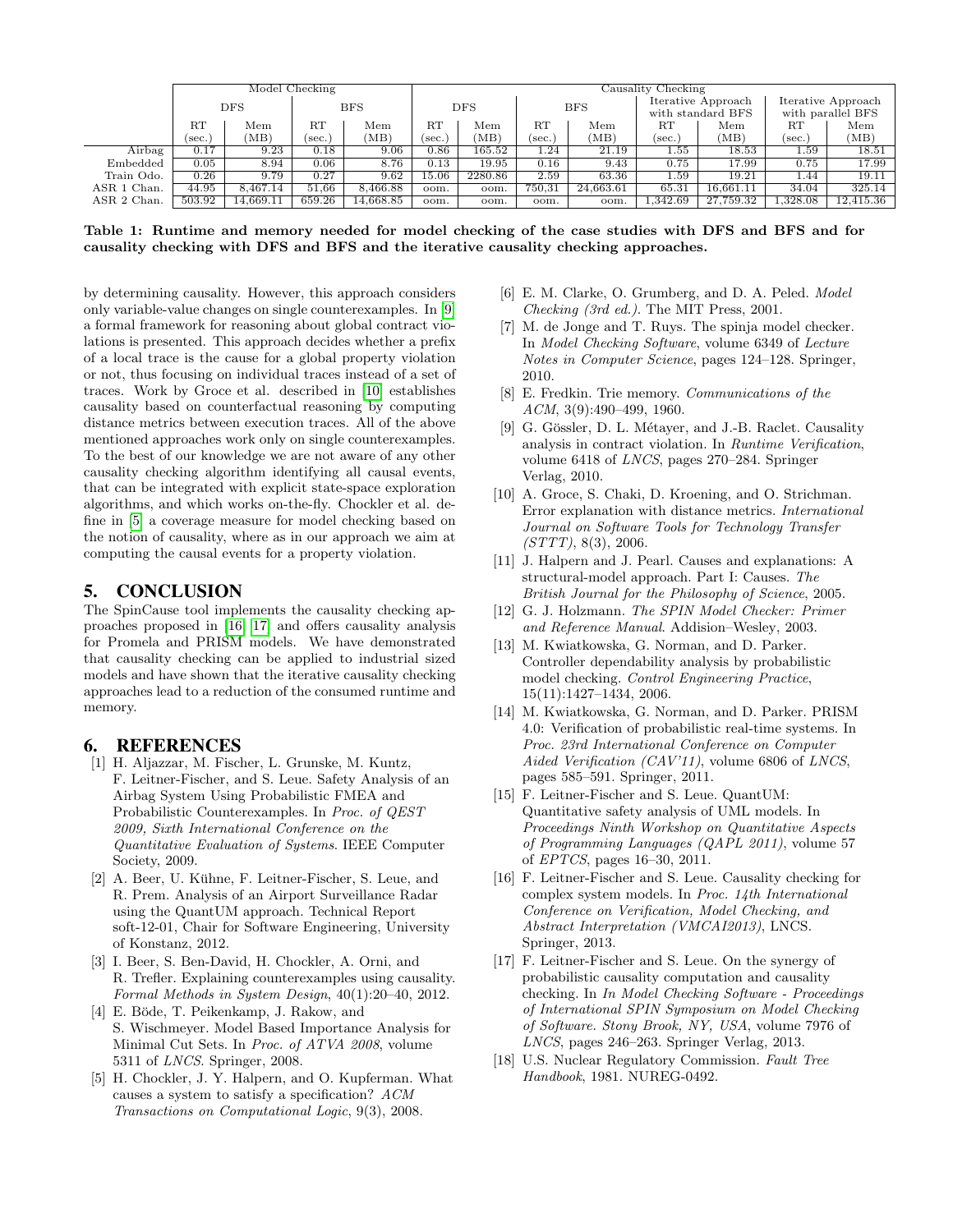|             | Model Checking |           |            |           | Causality Checking |         |            |           |                       |           |                    |           |
|-------------|----------------|-----------|------------|-----------|--------------------|---------|------------|-----------|-----------------------|-----------|--------------------|-----------|
|             | DFS.           |           | <b>BFS</b> |           | DFS                |         | <b>BFS</b> |           | Iterative Approach    |           | Iterative Approach |           |
|             |                |           |            |           |                    |         |            |           | with standard BFS     |           | with parallel BFS  |           |
|             | RT             | Mem       | RT         | Mem       | $_{\rm RT}$        | Mem     | <b>RT</b>  | Mem       | RT                    | Mem       | RT                 | Mem       |
|             | sec.           | MB)       | sec.)      | (MB)      | sec.               | (MB)    | sec.       | (MB)      | $\left( \sec \right)$ | (MB)      | sec.               | (MB)      |
| Airbag      | 0.17           | 9.23      | 0.18       | 9.06      | 0.86               | 165.52  | $1.24\,$   | 21.19     | $1.55\,$              | 18.53     | 1.59               | 18.51     |
| Embedded    | 0.05           | 8.94      | 0.06       | 8.76      | 0.13               | 19.95   | 0.16       | 9.43      | 0.75                  | 17.99     | 0.75               | 17.99     |
| Train Odo.  | 0.26           | 9.79      | 0.27       | 9.62      | 15.06              | 2280.86 | 2.59       | 63.36     | 1.59                  | 19.21     | 1.44               | 19.11     |
| ASR 1 Chan. | 44.95          | 8.467.14  | 51.66      | 8.466.88  | oom.               | oom.    | 750.31     | 24.663.61 | 65.31                 | 16.661.11 | 34.04              | 325.14    |
| ASR 2 Chan. | 503.92         | 14.669.11 | 659.26     | 14.668.85 | oom.               | oom.    | oom.       | oom.      | .342.69               | 27.759.32 | .328.08            | 12.415.36 |

<span id="page-3-14"></span>Table 1: Runtime and memory needed for model checking of the case studies with DFS and BFS and for causality checking with DFS and BFS and the iterative causality checking approaches.

by determining causality. However, this approach considers only variable-value changes on single counterexamples. In [\[9\]](#page-3-16) a formal framework for reasoning about global contract violations is presented. This approach decides whether a prefix of a local trace is the cause for a global property violation or not, thus focusing on individual traces instead of a set of traces. Work by Groce et al. described in [\[10\]](#page-3-17) establishes causality based on counterfactual reasoning by computing distance metrics between execution traces. All of the above mentioned approaches work only on single counterexamples. To the best of our knowledge we are not aware of any other causality checking algorithm identifying all causal events, that can be integrated with explicit state-space exploration algorithms, and which works on-the-fly. Chockler et al. define in [\[5\]](#page-3-18) a coverage measure for model checking based on the notion of causality, where as in our approach we aim at computing the causal events for a property violation.

## 5. CONCLUSION

The SpinCause tool implements the causality checking approaches proposed in [\[16,](#page-3-1) [17\]](#page-3-6) and offers causality analysis for Promela and PRISM models. We have demonstrated that causality checking can be applied to industrial sized models and have shown that the iterative causality checking approaches lead to a reduction of the consumed runtime and memory.

#### 6. REFERENCES

- <span id="page-3-9"></span>[1] H. Aljazzar, M. Fischer, L. Grunske, M. Kuntz, F. Leitner-Fischer, and S. Leue. Safety Analysis of an Airbag System Using Probabilistic FMEA and Probabilistic Counterexamples. In Proc. of QEST 2009, Sixth International Conference on the Quantitative Evaluation of Systems. IEEE Computer Society, 2009.
- <span id="page-3-12"></span>[2] A. Beer, U. Kühne, F. Leitner-Fischer, S. Leue, and R. Prem. Analysis of an Airport Surveillance Radar using the QuantUM approach. Technical Report soft-12-01, Chair for Software Engineering, University of Konstanz, 2012.
- <span id="page-3-15"></span>[3] I. Beer, S. Ben-David, H. Chockler, A. Orni, and R. Trefler. Explaining counterexamples using causality. Formal Methods in System Design, 40(1):20–40, 2012.
- <span id="page-3-11"></span>[4] E. Böde, T. Peikenkamp, J. Rakow, and S. Wischmeyer. Model Based Importance Analysis for Minimal Cut Sets. In Proc. of ATVA 2008, volume 5311 of LNCS. Springer, 2008.
- <span id="page-3-18"></span>[5] H. Chockler, J. Y. Halpern, and O. Kupferman. What causes a system to satisfy a specification? ACM Transactions on Computational Logic, 9(3), 2008.
- <span id="page-3-0"></span>[6] E. M. Clarke, O. Grumberg, and D. A. Peled. Model Checking (3rd ed.). The MIT Press, 2001.
- <span id="page-3-5"></span>[7] M. de Jonge and T. Ruys. The spinja model checker. In Model Checking Software, volume 6349 of Lecture Notes in Computer Science, pages 124–128. Springer, 2010.
- <span id="page-3-8"></span>[8] E. Fredkin. Trie memory. Communications of the ACM, 3(9):490–499, 1960.
- <span id="page-3-16"></span>[9] G. Gössler, D. L. Métayer, and J.-B. Raclet. Causality analysis in contract violation. In Runtime Verification, volume 6418 of LNCS, pages 270–284. Springer Verlag, 2010.
- <span id="page-3-17"></span>[10] A. Groce, S. Chaki, D. Kroening, and O. Strichman. Error explanation with distance metrics. International Journal on Software Tools for Technology Transfer  $(STTT, 8(3), 2006.$
- <span id="page-3-2"></span>[11] J. Halpern and J. Pearl. Causes and explanations: A structural-model approach. Part I: Causes. The British Journal for the Philosophy of Science, 2005.
- <span id="page-3-3"></span>[12] G. J. Holzmann. The SPIN Model Checker: Primer and Reference Manual. Addision–Wesley, 2003.
- <span id="page-3-10"></span>[13] M. Kwiatkowska, G. Norman, and D. Parker. Controller dependability analysis by probabilistic model checking. Control Engineering Practice, 15(11):1427–1434, 2006.
- <span id="page-3-4"></span>[14] M. Kwiatkowska, G. Norman, and D. Parker. PRISM 4.0: Verification of probabilistic real-time systems. In Proc. 23rd International Conference on Computer Aided Verification (CAV'11), volume 6806 of LNCS, pages 585–591. Springer, 2011.
- <span id="page-3-13"></span>[15] F. Leitner-Fischer and S. Leue. QuantUM: Quantitative safety analysis of UML models. In Proceedings Ninth Workshop on Quantitative Aspects of Programming Languages (QAPL 2011), volume 57 of EPTCS, pages 16–30, 2011.
- <span id="page-3-1"></span>[16] F. Leitner-Fischer and S. Leue. Causality checking for complex system models. In Proc. 14th International Conference on Verification, Model Checking, and Abstract Interpretation (VMCAI2013), LNCS. Springer, 2013.
- <span id="page-3-6"></span>[17] F. Leitner-Fischer and S. Leue. On the synergy of probabilistic causality computation and causality checking. In In Model Checking Software - Proceedings of International SPIN Symposium on Model Checking of Software. Stony Brook, NY, USA, volume 7976 of LNCS, pages 246–263. Springer Verlag, 2013.
- <span id="page-3-7"></span>[18] U.S. Nuclear Regulatory Commission. Fault Tree Handbook, 1981. NUREG-0492.